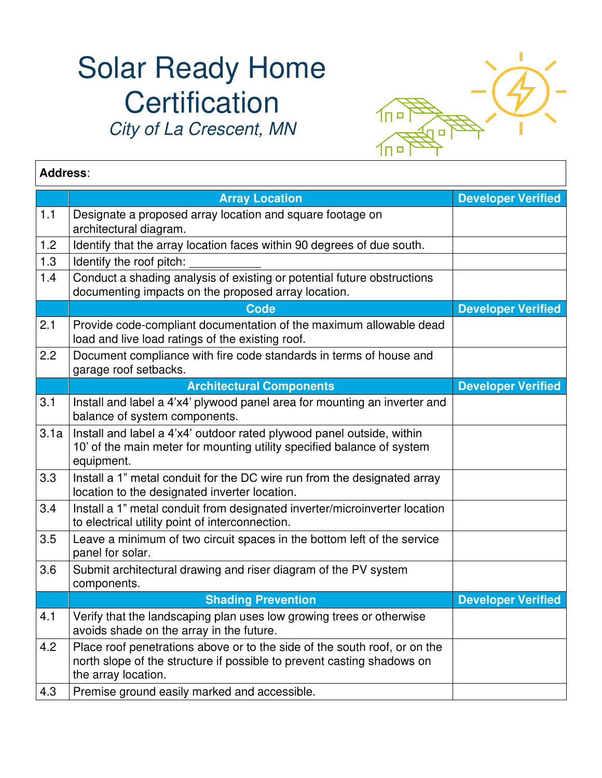## Solar Ready Home **Certification** City of La Crescent, MN



| <b>Address:</b> |                                                                                                                                                                            |                           |  |
|-----------------|----------------------------------------------------------------------------------------------------------------------------------------------------------------------------|---------------------------|--|
|                 | <b>Array Location</b>                                                                                                                                                      | <b>Developer Verified</b> |  |
| 1.1             | Designate a proposed array location and square footage on<br>architectural diagram.                                                                                        |                           |  |
| 1.2             | Identify that the array location faces within 90 degrees of due south.                                                                                                     |                           |  |
| 1.3             | Identify the roof pitch:                                                                                                                                                   |                           |  |
| 1.4             | Conduct a shading analysis of existing or potential future obstructions<br>documenting impacts on the proposed array location.                                             |                           |  |
|                 | <b>Code</b>                                                                                                                                                                | <b>Developer Verified</b> |  |
| 2.1             | Provide code-compliant documentation of the maximum allowable dead<br>load and live load ratings of the existing roof.                                                     |                           |  |
| 2.2             | Document compliance with fire code standards in terms of house and<br>garage roof setbacks.                                                                                |                           |  |
|                 | <b>Architectural Components</b>                                                                                                                                            | <b>Developer Verified</b> |  |
| 3.1             | Install and label a 4'x4' plywood panel area for mounting an inverter and<br>balance of system components.                                                                 |                           |  |
| 3.1a            | Install and label a 4'x4' outdoor rated plywood panel outside, within<br>10' of the main meter for mounting utility specified balance of system<br>equipment.              |                           |  |
| 3.3             | Install a 1" metal conduit for the DC wire run from the designated array<br>location to the designated inverter location.                                                  |                           |  |
| 3.4             | Install a 1" metal conduit from designated inverter/microinverter location<br>to electrical utility point of interconnection.                                              |                           |  |
| 3.5             | Leave a minimum of two circuit spaces in the bottom left of the service<br>panel for solar.                                                                                |                           |  |
| 3.6             | Submit architectural drawing and riser diagram of the PV system<br>components.                                                                                             |                           |  |
|                 | <b>Shading Prevention</b>                                                                                                                                                  | <b>Developer Verified</b> |  |
| 4.1             | Verify that the landscaping plan uses low growing trees or otherwise<br>avoids shade on the array in the future.                                                           |                           |  |
| 4.2             | Place roof penetrations above or to the side of the south roof, or on the<br>north slope of the structure if possible to prevent casting shadows on<br>the array location. |                           |  |
| 4.3             | Premise ground easily marked and accessible.                                                                                                                               |                           |  |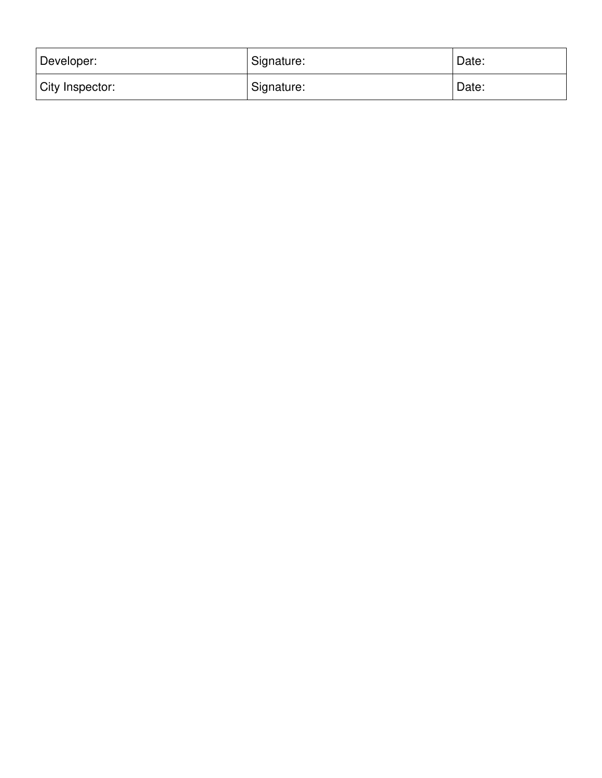| Developer:      | Signature: | Date: |
|-----------------|------------|-------|
| City Inspector: | Signature: | Date: |